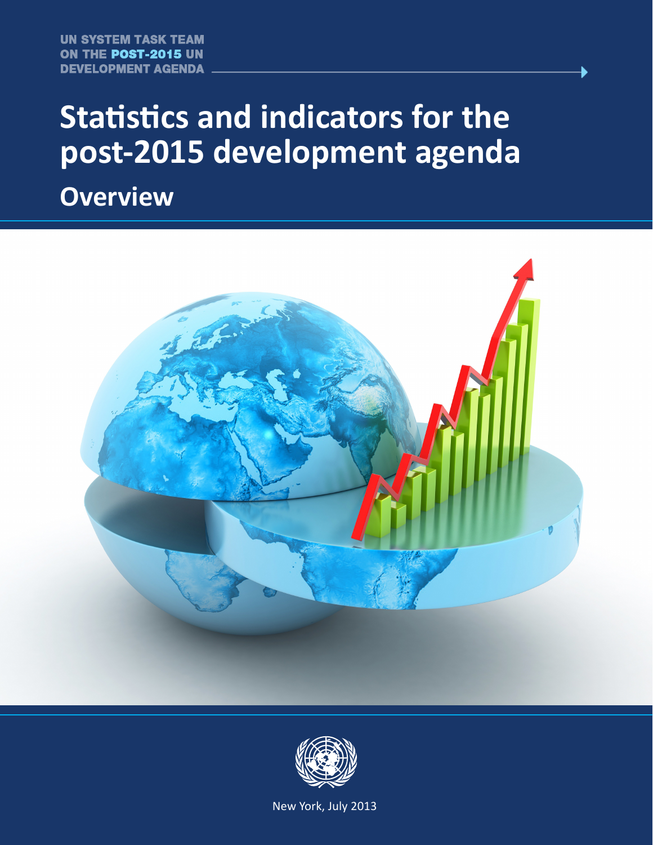# **Statistics and indicators for the post-2015 development agenda**

**Overview**





New York, July 2013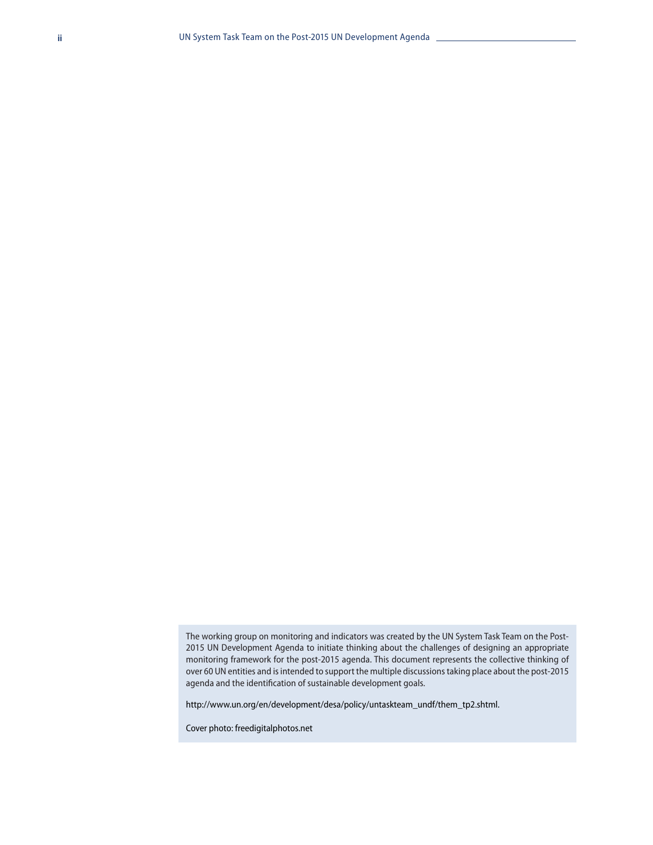The working group on monitoring and indicators was created by the UN System Task Team on the Post-2015 UN Development Agenda to initiate thinking about the challenges of designing an appropriate monitoring framework for the post-2015 agenda. This document represents the collective thinking of over 60 UN entities and is intended to support the multiple discussions taking place about the post-2015 agenda and the identification of sustainable development goals.

http://www.un.org/en/development/desa/policy/untaskteam\_undf/them\_tp2.shtml.

Cover photo: freedigitalphotos.net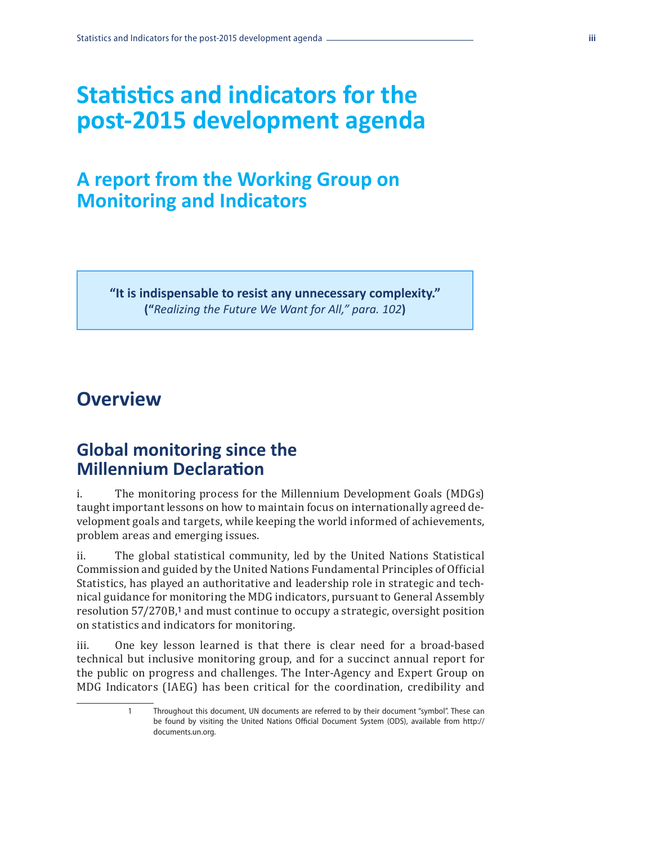## **Statistics and indicators for the post-2015 development agenda**

## **A report from the Working Group on Monitoring and Indicators**

**"It is indispensable to resist any unnecessary complexity." ("***Realizing the Future We Want for All," para. 102***)**

## **Overview**

## **Global monitoring since the Millennium Declaration**

i. The monitoring process for the Millennium Development Goals (MDGs) taught important lessons on how to maintain focus on internationally agreed development goals and targets, while keeping the world informed of achievements, problem areas and emerging issues.

ii. The global statistical community, led by the United Nations Statistical Commission and guided by the United Nations Fundamental Principles of Official Statistics, has played an authoritative and leadership role in strategic and technical guidance for monitoring the MDG indicators, pursuant to General Assembly resolution 57/270B,**1** and must continue to occupy a strategic, oversight position on statistics and indicators for monitoring.

iii. One key lesson learned is that there is clear need for a broad-based technical but inclusive monitoring group, and for a succinct annual report for the public on progress and challenges. The Inter-Agency and Expert Group on MDG Indicators (IAEG) has been critical for the coordination, credibility and

> 1 Throughout this document, UN documents are referred to by their document "symbol". These can be found by visiting the United Nations Official Document System (ODS), available from http:// documents.un.org.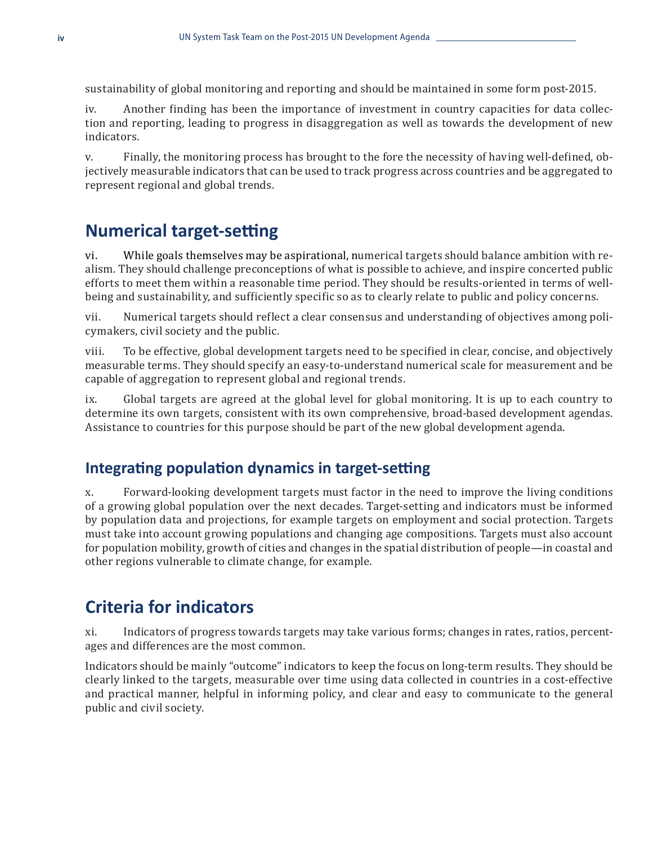sustainability of global monitoring and reporting and should be maintained in some form post-2015.

iv. Another finding has been the importance of investment in country capacities for data collection and reporting, leading to progress in disaggregation as well as towards the development of new indicators.

v. Finally, the monitoring process has brought to the fore the necessity of having well-defined, objectively measurable indicators that can be used to track progress across countries and be aggregated to represent regional and global trends.

## **Numerical target-setting**

vi. While goals themselves may be aspirational, numerical targets should balance ambition with realism. They should challenge preconceptions of what is possible to achieve, and inspire concerted public efforts to meet them within a reasonable time period. They should be results-oriented in terms of wellbeing and sustainability, and sufficiently specific so as to clearly relate to public and policy concerns.

vii. Numerical targets should reflect a clear consensus and understanding of objectives among policymakers, civil society and the public.

viii. To be effective, global development targets need to be specified in clear, concise, and objectively measurable terms. They should specify an easy-to-understand numerical scale for measurement and be capable of aggregation to represent global and regional trends.

ix. Global targets are agreed at the global level for global monitoring. It is up to each country to determine its own targets, consistent with its own comprehensive, broad-based development agendas. Assistance to countries for this purpose should be part of the new global development agenda.

#### **Integrating population dynamics in target-setting**

x. Forward-looking development targets must factor in the need to improve the living conditions of a growing global population over the next decades. Target-setting and indicators must be informed by population data and projections, for example targets on employment and social protection. Targets must take into account growing populations and changing age compositions. Targets must also account for population mobility, growth of cities and changes in the spatial distribution of people—in coastal and other regions vulnerable to climate change, for example.

## **Criteria for indicators**

xi. Indicators of progress towards targets may take various forms; changes in rates, ratios, percentages and differences are the most common.

Indicators should be mainly "outcome" indicators to keep the focus on long-term results. They should be clearly linked to the targets, measurable over time using data collected in countries in a cost-effective and practical manner, helpful in informing policy, and clear and easy to communicate to the general public and civil society.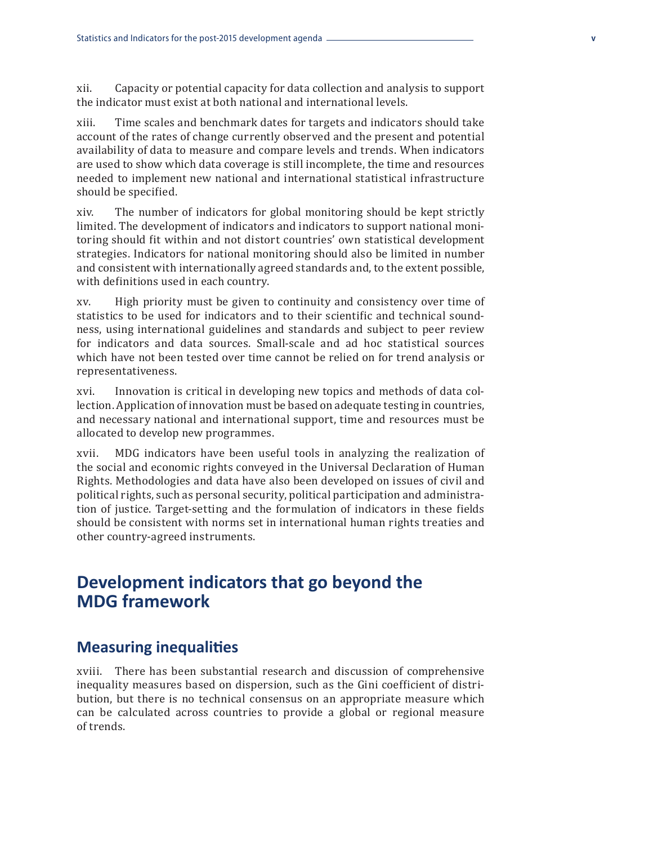xii. Capacity or potential capacity for data collection and analysis to support the indicator must exist at both national and international levels.

xiii. Time scales and benchmark dates for targets and indicators should take account of the rates of change currently observed and the present and potential availability of data to measure and compare levels and trends. When indicators are used to show which data coverage is still incomplete, the time and resources needed to implement new national and international statistical infrastructure should be specified.

xiv. The number of indicators for global monitoring should be kept strictly limited. The development of indicators and indicators to support national monitoring should fit within and not distort countries' own statistical development strategies. Indicators for national monitoring should also be limited in number and consistent with internationally agreed standards and, to the extent possible, with definitions used in each country.

xv. High priority must be given to continuity and consistency over time of statistics to be used for indicators and to their scientific and technical soundness, using international guidelines and standards and subject to peer review for indicators and data sources. Small-scale and ad hoc statistical sources which have not been tested over time cannot be relied on for trend analysis or representativeness.

xvi. Innovation is critical in developing new topics and methods of data collection. Application of innovation must be based on adequate testing in countries, and necessary national and international support, time and resources must be allocated to develop new programmes.

xvii. MDG indicators have been useful tools in analyzing the realization of the social and economic rights conveyed in the Universal Declaration of Human Rights. Methodologies and data have also been developed on issues of civil and political rights, such as personal security, political participation and administration of justice. Target-setting and the formulation of indicators in these fields should be consistent with norms set in international human rights treaties and other country-agreed instruments.

## **Development indicators that go beyond the MDG framework**

#### **Measuring inequalities**

xviii. There has been substantial research and discussion of comprehensive inequality measures based on dispersion, such as the Gini coefficient of distribution, but there is no technical consensus on an appropriate measure which can be calculated across countries to provide a global or regional measure of trends.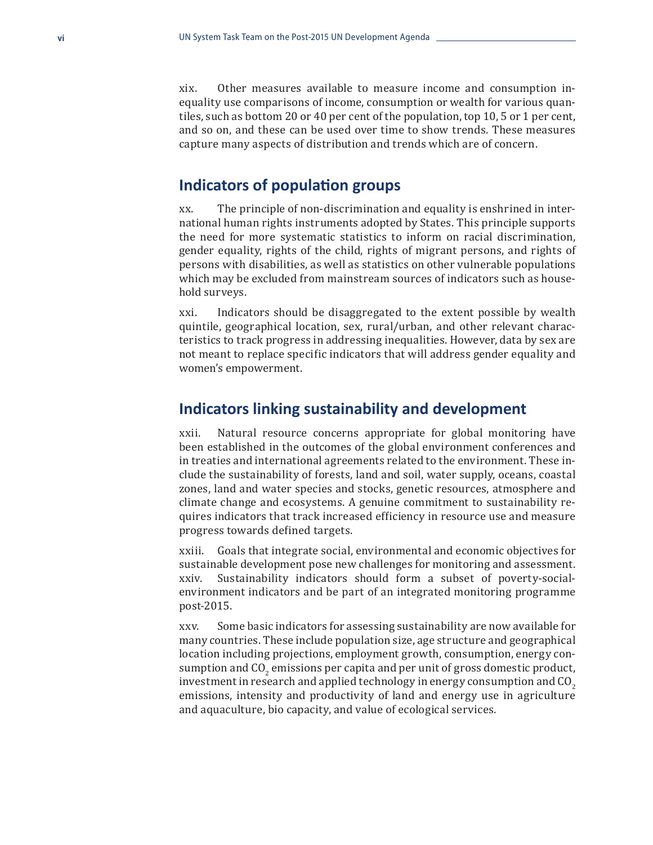xix. Other measures available to measure income and consumption inequality use comparisons of income, consumption or wealth for various quantiles, such as bottom 20 or 40 per cent of the population, top 10, 5 or 1 per cent, and so on, and these can be used over time to show trends. These measures capture many aspects of distribution and trends which are of concern.

#### **Indicators of population groups**

xx. The principle of non-discrimination and equality is enshrined in international human rights instruments adopted by States. This principle supports the need for more systematic statistics to inform on racial discrimination, gender equality, rights of the child, rights of migrant persons, and rights of persons with disabilities, as well as statistics on other vulnerable populations which may be excluded from mainstream sources of indicators such as household surveys.

xxi. Indicators should be disaggregated to the extent possible by wealth quintile, geographical location, sex, rural/urban, and other relevant characteristics to track progress in addressing inequalities. However, data by sex are not meant to replace specific indicators that will address gender equality and women's empowerment.

#### **Indicators linking sustainability and development**

xxii. Natural resource concerns appropriate for global monitoring have been established in the outcomes of the global environment conferences and in treaties and international agreements related to the environment. These include the sustainability of forests, land and soil, water supply, oceans, coastal zones, land and water species and stocks, genetic resources, atmosphere and climate change and ecosystems. A genuine commitment to sustainability requires indicators that track increased efficiency in resource use and measure progress towards defined targets.

xxiii. Goals that integrate social, environmental and economic objectives for sustainable development pose new challenges for monitoring and assessment. xxiv. Sustainability indicators should form a subset of poverty-socialenvironment indicators and be part of an integrated monitoring programme post-2015.

xxv. Some basic indicators for assessing sustainability are now available for many countries. These include population size, age structure and geographical location including projections, employment growth, consumption, energy consumption and  $CO_2$  emissions per capita and per unit of gross domestic product, investment in research and applied technology in energy consumption and CO<sub>2</sub> emissions, intensity and productivity of land and energy use in agriculture and aquaculture, bio capacity, and value of ecological services.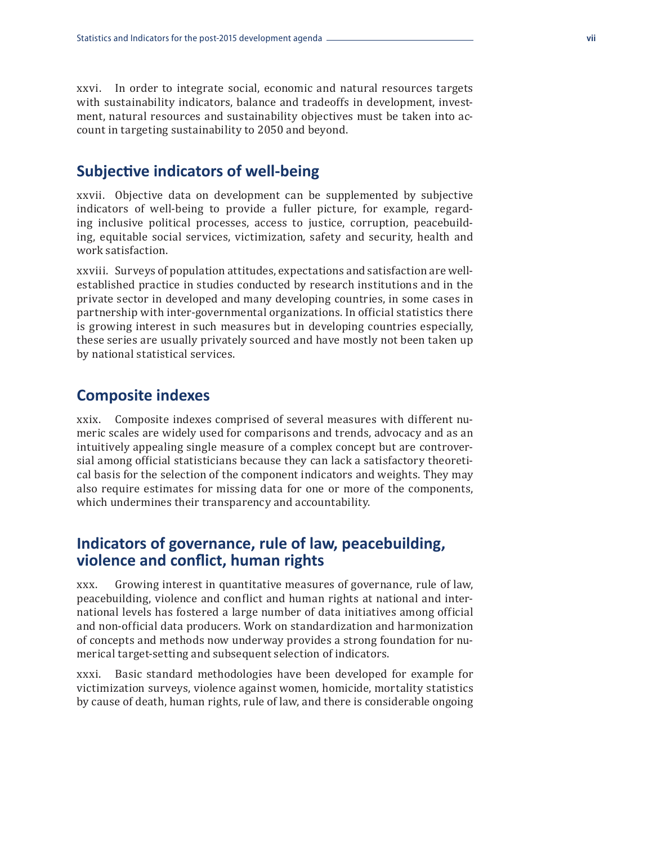xxvi. In order to integrate social, economic and natural resources targets with sustainability indicators, balance and tradeoffs in development, investment, natural resources and sustainability objectives must be taken into account in targeting sustainability to 2050 and beyond.

## **Subjective indicators of well-being**

xxvii. Objective data on development can be supplemented by subjective indicators of well-being to provide a fuller picture, for example, regarding inclusive political processes, access to justice, corruption, peacebuilding, equitable social services, victimization, safety and security, health and work satisfaction.

xxviii. Surveys of population attitudes, expectations and satisfaction are wellestablished practice in studies conducted by research institutions and in the private sector in developed and many developing countries, in some cases in partnership with inter-governmental organizations. In official statistics there is growing interest in such measures but in developing countries especially, these series are usually privately sourced and have mostly not been taken up by national statistical services.

#### **Composite indexes**

xxix. Composite indexes comprised of several measures with different numeric scales are widely used for comparisons and trends, advocacy and as an intuitively appealing single measure of a complex concept but are controversial among official statisticians because they can lack a satisfactory theoretical basis for the selection of the component indicators and weights. They may also require estimates for missing data for one or more of the components, which undermines their transparency and accountability.

#### **Indicators of governance, rule of law, peacebuilding, violence and conflict, human rights**

xxx. Growing interest in quantitative measures of governance, rule of law, peacebuilding, violence and conflict and human rights at national and international levels has fostered a large number of data initiatives among official and non-official data producers. Work on standardization and harmonization of concepts and methods now underway provides a strong foundation for numerical target-setting and subsequent selection of indicators.

xxxi. Basic standard methodologies have been developed for example for victimization surveys, violence against women, homicide, mortality statistics by cause of death, human rights, rule of law, and there is considerable ongoing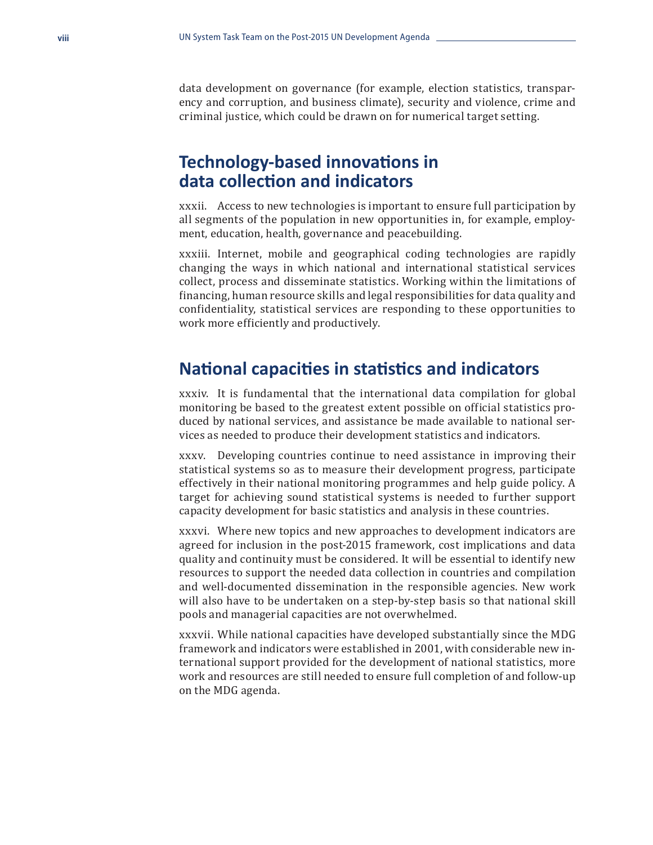data development on governance (for example, election statistics, transparency and corruption, and business climate), security and violence, crime and criminal justice, which could be drawn on for numerical target setting.

## **Technology-based innovations in data collection and indicators**

xxxii. Access to new technologies is important to ensure full participation by all segments of the population in new opportunities in, for example, employment, education, health, governance and peacebuilding.

xxxiii. Internet, mobile and geographical coding technologies are rapidly changing the ways in which national and international statistical services collect, process and disseminate statistics. Working within the limitations of financing, human resource skills and legal responsibilities for data quality and confidentiality, statistical services are responding to these opportunities to work more efficiently and productively.

## **National capacities in statistics and indicators**

xxxiv. It is fundamental that the international data compilation for global monitoring be based to the greatest extent possible on official statistics produced by national services, and assistance be made available to national services as needed to produce their development statistics and indicators.

xxxv. Developing countries continue to need assistance in improving their statistical systems so as to measure their development progress, participate effectively in their national monitoring programmes and help guide policy. A target for achieving sound statistical systems is needed to further support capacity development for basic statistics and analysis in these countries.

xxxvi. Where new topics and new approaches to development indicators are agreed for inclusion in the post-2015 framework, cost implications and data quality and continuity must be considered. It will be essential to identify new resources to support the needed data collection in countries and compilation and well-documented dissemination in the responsible agencies. New work will also have to be undertaken on a step-by-step basis so that national skill pools and managerial capacities are not overwhelmed.

xxxvii. While national capacities have developed substantially since the MDG framework and indicators were established in 2001, with considerable new international support provided for the development of national statistics, more work and resources are still needed to ensure full completion of and follow-up on the MDG agenda.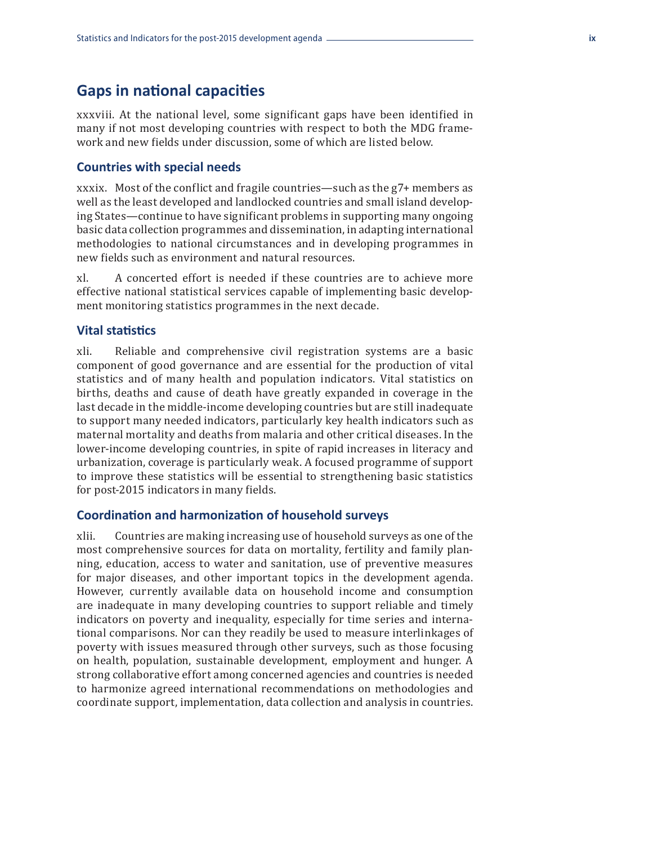#### **Gaps in national capacities**

xxxviii. At the national level, some significant gaps have been identified in many if not most developing countries with respect to both the MDG framework and new fields under discussion, some of which are listed below.

#### **Countries with special needs**

xxxix. Most of the conflict and fragile countries—such as the g7+ members as well as the least developed and landlocked countries and small island developing States—continue to have significant problems in supporting many ongoing basic data collection programmes and dissemination, in adapting international methodologies to national circumstances and in developing programmes in new fields such as environment and natural resources.

xl. A concerted effort is needed if these countries are to achieve more effective national statistical services capable of implementing basic development monitoring statistics programmes in the next decade.

#### **Vital statistics**

xli. Reliable and comprehensive civil registration systems are a basic component of good governance and are essential for the production of vital statistics and of many health and population indicators. Vital statistics on births, deaths and cause of death have greatly expanded in coverage in the last decade in the middle-income developing countries but are still inadequate to support many needed indicators, particularly key health indicators such as maternal mortality and deaths from malaria and other critical diseases. In the lower-income developing countries, in spite of rapid increases in literacy and urbanization, coverage is particularly weak. A focused programme of support to improve these statistics will be essential to strengthening basic statistics for post-2015 indicators in many fields.

#### **Coordination and harmonization of household surveys**

xlii. Countries are making increasing use of household surveys as one of the most comprehensive sources for data on mortality, fertility and family planning, education, access to water and sanitation, use of preventive measures for major diseases, and other important topics in the development agenda. However, currently available data on household income and consumption are inadequate in many developing countries to support reliable and timely indicators on poverty and inequality, especially for time series and international comparisons. Nor can they readily be used to measure interlinkages of poverty with issues measured through other surveys, such as those focusing on health, population, sustainable development, employment and hunger. A strong collaborative effort among concerned agencies and countries is needed to harmonize agreed international recommendations on methodologies and coordinate support, implementation, data collection and analysis in countries.